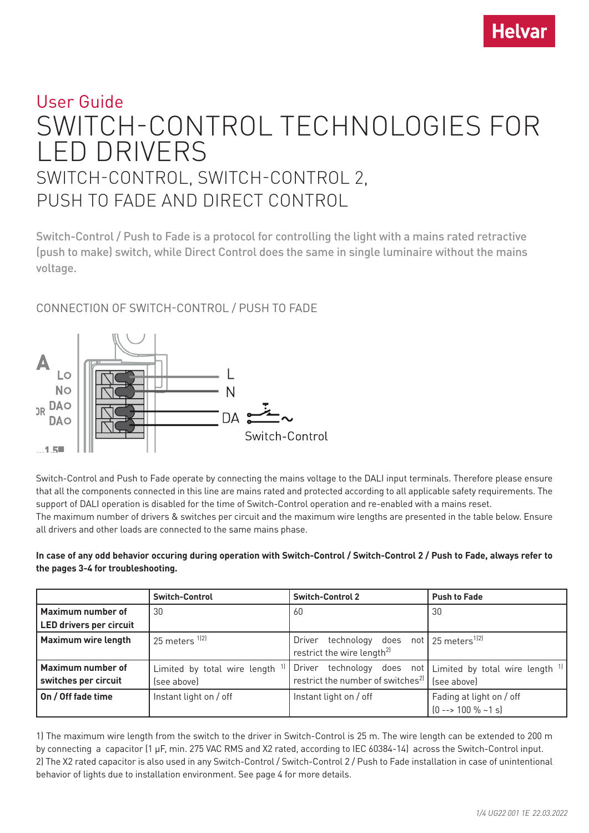# User Guide SWITCH-CONTROL TECHNOLOGIES FOR LED DRIVERS SWITCH-CONTROL, SWITCH-CONTROL 2, PUSH TO FADE AND DIRECT CONTROL

Switch-Control / Push to Fade is a protocol for controlling the light with a mains rated retractive (push to make) switch, while Direct Control does the same in single luminaire without the mains voltage.

# CONNECTION OF SWITCH-CONTROL / PUSH TO FADE



Switch-Control and Push to Fade operate by connecting the mains voltage to the DALI input terminals. Therefore please ensure that all the components connected in this line are mains rated and protected according to all applicable safety requirements. The support of DALI operation is disabled for the time of Switch-Control operation and re-enabled with a mains reset. The maximum number of drivers & switches per circuit and the maximum wire lengths are presented in the table below. Ensure all drivers and other loads are connected to the same mains phase.

**In case of any odd behavior occuring during operation with Switch-Control / Switch-Control 2 / Push to Fade, always refer to the pages 3-4 for troubleshooting.**

|                                           | <b>Switch-Control</b>                         | <b>Switch-Control 2</b>                                                                                       | <b>Push to Fade</b>                                      |
|-------------------------------------------|-----------------------------------------------|---------------------------------------------------------------------------------------------------------------|----------------------------------------------------------|
| Maximum number of                         | 30                                            | -60                                                                                                           | 30                                                       |
| <b>LED drivers per circuit</b>            |                                               |                                                                                                               |                                                          |
| <b>Maximum wire length</b>                | 25 meters <sup>1)2)</sup>                     | technology does not $\frac{1}{25}$ meters <sup>1)2)</sup><br>Driver<br>restrict the wire length <sup>2)</sup> |                                                          |
| Maximum number of<br>switches per circuit | Limited by total wire length 1<br>(see above) | technology<br>Driver<br>restrict the number of switches <sup>2)</sup>                                         | does not Limited by total wire length $1$<br>(see above) |
| On / Off fade time                        | Instant light on / off                        | Instant light on / off                                                                                        | Fading at light on / off<br>$[0 -- 100 % -1 s]$          |

1) The maximum wire length from the switch to the driver in Switch-Control is 25 m. The wire length can be extended to 200 m by connecting a capacitor (1 μF, min. 275 VAC RMS and X2 rated, according to IEC 60384-14) across the Switch-Control input. 2) The X2 rated capacitor is also used in any Switch-Control / Switch-Control 2 / Push to Fade installation in case of unintentional behavior of lights due to installation environment. See page 4 for more details.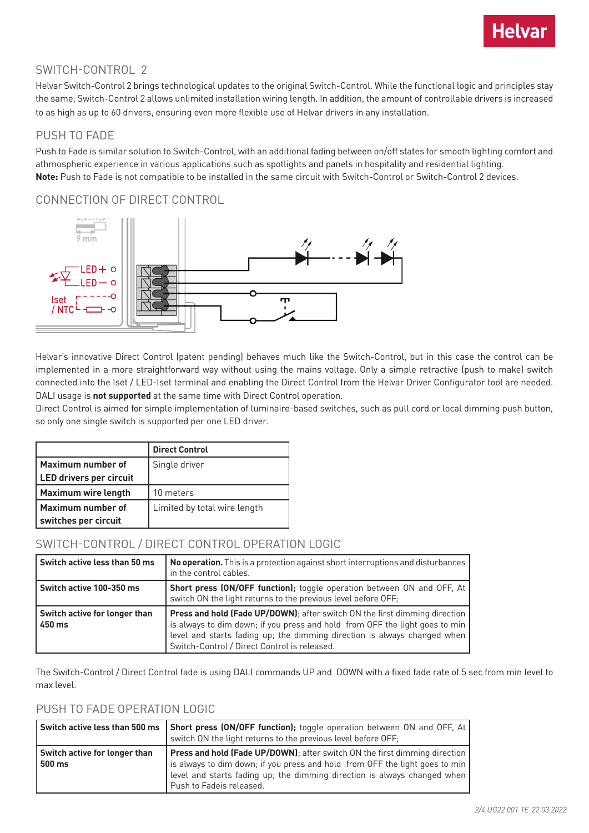

## SWITCH-CONTROL 2

Helvar Switch-Control 2 brings technological updates to the original Switch-Control. While the functional logic and principles stay the same, Switch-Control 2 allows unlimited installation wiring length. In addition, the amount of controllable drivers is increased to as high as up to 60 drivers, ensuring even more flexible use of Helvar drivers in any installation.

## PUSH TO FADE

Push to Fade is similar solution to Switch-Control, with an additional fading between on/off states for smooth lighting comfort and athmospheric experience in various applications such as spotlights and panels in hospitality and residential lighting. **Note:** Push to Fade is not compatible to be installed in the same circuit with Switch-Control or Switch-Control 2 devices.

## CONNECTION OF DIRECT CONTROL



Helvar's innovative Direct Control (patent pending) behaves much like the Switch-Control, but in this case the control can be implemented in a more straightforward way without using the mains voltage. Only a simple retractive (push to make) switch connected into the Iset / LED-Iset terminal and enabling the Direct Control from the Helvar Driver Configurator tool are needed. DALI usage is **not supported** at the same time with Direct Control operation.

Direct Control is aimed for simple implementation of luminaire-based switches, such as pull cord or local dimming push button, so only one single switch is supported per one LED driver.

|                                | <b>Direct Control</b>        |
|--------------------------------|------------------------------|
| Maximum number of              | Single driver                |
| <b>LED drivers per circuit</b> |                              |
| <b>Maximum wire length</b>     | 10 meters                    |
| Maximum number of              | Limited by total wire length |
| switches per circuit           |                              |

## SWITCH-CONTROL / DIRECT CONTROL OPERATION LOGIC

| Switch active less than 50 ms           | No operation. This is a protection against short interruptions and disturbances<br>in the control cables.                                                                                                                                                                             |
|-----------------------------------------|---------------------------------------------------------------------------------------------------------------------------------------------------------------------------------------------------------------------------------------------------------------------------------------|
| Switch active 100-350 ms                | Short press (ON/OFF function); toggle operation between ON and OFF, At<br>switch ON the light returns to the previous level before OFF;                                                                                                                                               |
| Switch active for longer than<br>450 ms | Press and hold (Fade UP/DOWN); after switch ON the first dimming direction<br>is always to dim down; if you press and hold from OFF the light goes to min<br>level and starts fading up; the dimming direction is always changed when<br>Switch-Control / Direct Control is released. |

The Switch-Control / Direct Control fade is using DALI commands UP and DOWN with a fixed fade rate of 5 sec from min level to max level.

# PUSH TO FADE OPERATION LOGIC

|                                         | Switch active less than 500 ms   Short press (ON/OFF function); toggle operation between ON and OFF, At  <br>switch ON the light returns to the previous level before OFF;                                                                                        |
|-----------------------------------------|-------------------------------------------------------------------------------------------------------------------------------------------------------------------------------------------------------------------------------------------------------------------|
| Switch active for longer than<br>500 ms | Press and hold (Fade UP/DOWN); after switch ON the first dimming direction<br>is always to dim down; if you press and hold from OFF the light goes to min<br>level and starts fading up; the dimming direction is always changed when<br>Push to Fadeis released. |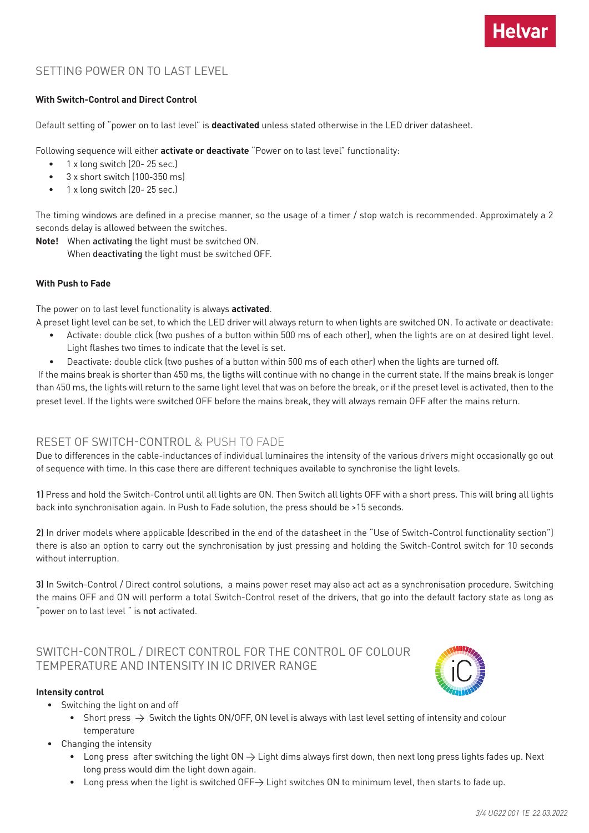# SETTING POWER ON TO LAST LEVEL

#### **With Switch-Control and Direct Control**

Default setting of "power on to last level" is **deactivated** unless stated otherwise in the LED driver datasheet.

Following sequence will either **activate or deactivate** "Power on to last level" functionality:

- 1 x long switch (20 25 sec.)
- 3 x short switch (100-350 ms)
- 1 x long switch (20- 25 sec.)

The timing windows are defined in a precise manner, so the usage of a timer / stop watch is recommended. Approximately a 2 seconds delay is allowed between the switches.

**Note!** When activating the light must be switched ON. When deactivating the light must be switched OFF.

#### **With Push to Fade**

The power on to last level functionality is always **activated**.

A preset light level can be set, to which the LED driver will always return to when lights are switched ON. To activate or deactivate:

- Activate: double click (two pushes of a button within 500 ms of each other), when the lights are on at desired light level. Light flashes two times to indicate that the level is set.
- Deactivate: double click (two pushes of a button within 500 ms of each other) when the lights are turned off.

 If the mains break is shorter than 450 ms, the ligths will continue with no change in the current state. If the mains break is longer than 450 ms, the lights will return to the same light level that was on before the break, or if the preset level is activated, then to the preset level. If the lights were switched OFF before the mains break, they will always remain OFF after the mains return.

## RESET OF SWITCH-CONTROL & PUSH TO FADE

Due to differences in the cable-inductances of individual luminaires the intensity of the various drivers might occasionally go out of sequence with time. In this case there are different techniques available to synchronise the light levels.

1) Press and hold the Switch-Control until all lights are ON. Then Switch all lights OFF with a short press. This will bring all lights back into synchronisation again. In Push to Fade solution, the press should be >15 seconds.

2) In driver models where applicable (described in the end of the datasheet in the "Use of Switch-Control functionality section") there is also an option to carry out the synchronisation by just pressing and holding the Switch-Control switch for 10 seconds without interruption.

3) In Switch-Control / Direct control solutions, a mains power reset may also act act as a synchronisation procedure. Switching the mains OFF and ON will perform a total Switch-Control reset of the drivers, that go into the default factory state as long as "power on to last level " is not activated.

## SWITCH-CONTROL / DIRECT CONTROL FOR THE CONTROL OF COLOUR TEMPERATURE AND INTENSITY IN IC DRIVER RANGE

#### **Intensity control**

- Switching the light on and off
	- Short press  $\rightarrow$  Switch the lights ON/OFF, ON level is always with last level setting of intensity and colour temperature
- Changing the intensity
	- Long press after switching the light ON → Light dims always first down, then next long press lights fades up. Next long press would dim the light down again.
	- Long press when the light is switched OFF→ Light switches ON to minimum level, then starts to fade up.